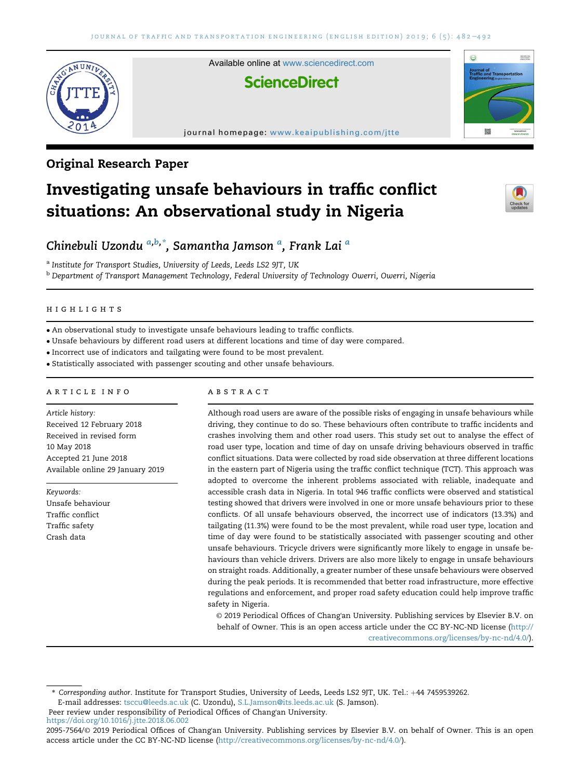

Available online at [www.sciencedirect.com](www.sciencedirect.com/science/journal/20957564)

# **ScienceDirect**

#### journal homepage: www.keaipublishing.com/jtte

# Original Research Paper

# Investigating unsafe behaviours in traffic conflict situations: An observational study in Nigeria



nortation

 $\odot$ 

al of<br>: and Trans

图

# Chinebuli Uzondu <sup>a,b,\*</sup>, Samantha Jamson <sup>a</sup>, Frank Lai <sup>a</sup>

a Institute for Transport Studies, University of Leeds, Leeds LS2 9JT, UK

**b Department of Transport Management Technology, Federal University of Technology Owerri, Owerri, Nigeria** 

# highlights

An observational study to investigate unsafe behaviours leading to traffic conflicts.

Unsafe behaviours by different road users at different locations and time of day were compared.

Incorrect use of indicators and tailgating were found to be most prevalent.

Statistically associated with passenger scouting and other unsafe behaviours.

Article history: Received 12 February 2018 Received in revised form 10 May 2018 Accepted 21 June 2018 Available online 29 January 2019

Keywords: Unsafe behaviour Traffic conflict Traffic safety Crash data

Although road users are aware of the possible risks of engaging in unsafe behaviours while driving, they continue to do so. These behaviours often contribute to traffic incidents and crashes involving them and other road users. This study set out to analyse the effect of road user type, location and time of day on unsafe driving behaviours observed in traffic conflict situations. Data were collected by road side observation at three different locations in the eastern part of Nigeria using the traffic conflict technique (TCT). This approach was adopted to overcome the inherent problems associated with reliable, inadequate and accessible crash data in Nigeria. In total 946 traffic conflicts were observed and statistical testing showed that drivers were involved in one or more unsafe behaviours prior to these conflicts. Of all unsafe behaviours observed, the incorrect use of indicators (13.3%) and tailgating (11.3%) were found to be the most prevalent, while road user type, location and time of day were found to be statistically associated with passenger scouting and other unsafe behaviours. Tricycle drivers were significantly more likely to engage in unsafe behaviours than vehicle drivers. Drivers are also more likely to engage in unsafe behaviours on straight roads. Additionally, a greater number of these unsafe behaviours were observed during the peak periods. It is recommended that better road infrastructure, more effective regulations and enforcement, and proper road safety education could help improve traffic safety in Nigeria.

© 2019 Periodical Offices of Chang'an University. Publishing services by Elsevier B.V. on behalf of Owner. This is an open access article under the CC BY-NC-ND license [\(http://](http://creativecommons.org/licenses/by-nc-nd/4.0/) [creativecommons.org/licenses/by-nc-nd/4.0/\)](http://creativecommons.org/licenses/by-nc-nd/4.0/).

Peer review under responsibility of Periodical Offices of Chang'an University.

<https://doi.org/10.1016/j.jtte.2018.06.002>

<sup>\*</sup> Corresponding author. Institute for Transport Studies, University of Leeds, Leeds LS2 9JT, UK. Tel.: +44 7459539262. E-mail addresses: [tsccu@leeds.ac.uk](mailto:tsccu@leeds.ac.uk) (C. Uzondu), [S.L.Jamson@its.leeds.ac.uk](mailto:S.L.Jamson@its.leeds.ac.uk) (S. Jamson).

<sup>2095-7564/</sup>© 2019 Periodical Offices of Chang'an University. Publishing services by Elsevier B.V. on behalf of Owner. This is an open access article under the CC BY-NC-ND license [\(http://creativecommons.org/licenses/by-nc-nd/4.0/](http://creativecommons.org/licenses/by-nc-nd/4.0/)).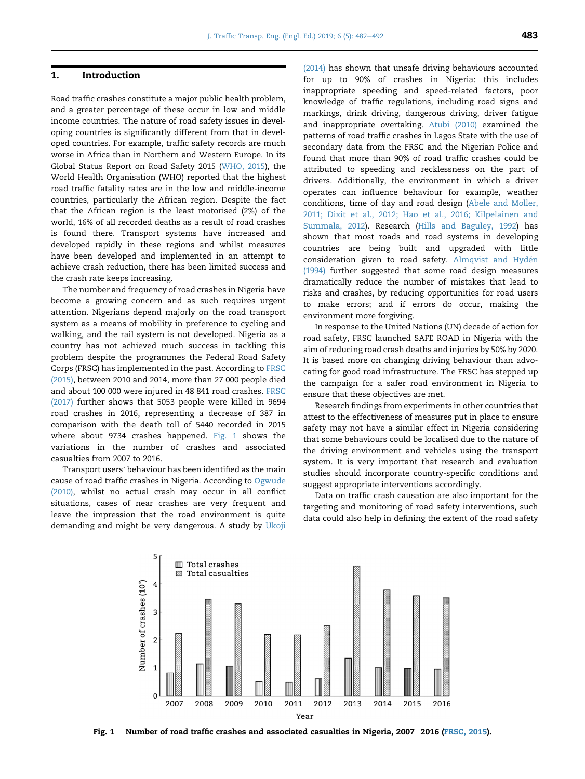### <span id="page-1-0"></span>1. Introduction

Road traffic crashes constitute a major public health problem, and a greater percentage of these occur in low and middle income countries. The nature of road safety issues in developing countries is significantly different from that in developed countries. For example, traffic safety records are much worse in Africa than in Northern and Western Europe. In its Global Status Report on Road Safety 2015 ([WHO, 2015\)](#page-10-0), the World Health Organisation (WHO) reported that the highest road traffic fatality rates are in the low and middle-income countries, particularly the African region. Despite the fact that the African region is the least motorised (2%) of the world, 16% of all recorded deaths as a result of road crashes is found there. Transport systems have increased and developed rapidly in these regions and whilst measures have been developed and implemented in an attempt to achieve crash reduction, there has been limited success and the crash rate keeps increasing.

The number and frequency of road crashes in Nigeria have become a growing concern and as such requires urgent attention. Nigerians depend majorly on the road transport system as a means of mobility in preference to cycling and walking, and the rail system is not developed. Nigeria as a country has not achieved much success in tackling this problem despite the programmes the Federal Road Safety Corps (FRSC) has implemented in the past. According to [FRSC](#page-9-0) [\(2015\),](#page-9-0) between 2010 and 2014, more than 27 000 people died and about 100 000 were injured in 48 841 road crashes. [FRSC](#page-9-0) [\(2017\)](#page-9-0) further shows that 5053 people were killed in 9694 road crashes in 2016, representing a decrease of 387 in comparison with the death toll of 5440 recorded in 2015 where about 9734 crashes happened. Fig. 1 shows the variations in the number of crashes and associated casualties from 2007 to 2016.

Transport users' behaviour has been identified as the main cause of road traffic crashes in Nigeria. According to [Ogwude](#page-10-0) [\(2010\)](#page-10-0), whilst no actual crash may occur in all conflict situations, cases of near crashes are very frequent and leave the impression that the road environment is quite demanding and might be very dangerous. A study by [Ukoji](#page-10-0)

[\(2014\)](#page-10-0) has shown that unsafe driving behaviours accounted for up to 90% of crashes in Nigeria: this includes inappropriate speeding and speed-related factors, poor knowledge of traffic regulations, including road signs and markings, drink driving, dangerous driving, driver fatigue and inappropriate overtaking. [Atubi \(2010\)](#page-9-0) examined the patterns of road traffic crashes in Lagos State with the use of secondary data from the FRSC and the Nigerian Police and found that more than 90% of road traffic crashes could be attributed to speeding and recklessness on the part of drivers. Additionally, the environment in which a driver operates can influence behaviour for example, weather conditions, time of day and road design [\(Abele and Moller,](#page-9-0) [2011; Dixit et al., 2012; Hao et al., 2016; Kilpelainen and](#page-9-0) [Summala, 2012\)](#page-9-0). Research ([Hills and Baguley, 1992\)](#page-10-0) has shown that most roads and road systems in developing countries are being built and upgraded with little consideration given to road safety. [Almqvist and Hyd](#page-9-0)é[n](#page-9-0) [\(1994\)](#page-9-0) further suggested that some road design measures dramatically reduce the number of mistakes that lead to risks and crashes, by reducing opportunities for road users to make errors; and if errors do occur, making the environment more forgiving.

In response to the United Nations (UN) decade of action for road safety, FRSC launched SAFE ROAD in Nigeria with the aim of reducing road crash deaths and injuries by 50% by 2020. It is based more on changing driving behaviour than advocating for good road infrastructure. The FRSC has stepped up the campaign for a safer road environment in Nigeria to ensure that these objectives are met.

Research findings from experiments in other countries that attest to the effectiveness of measures put in place to ensure safety may not have a similar effect in Nigeria considering that some behaviours could be localised due to the nature of the driving environment and vehicles using the transport system. It is very important that research and evaluation studies should incorporate country-specific conditions and suggest appropriate interventions accordingly.

Data on traffic crash causation are also important for the targeting and monitoring of road safety interventions, such data could also help in defining the extent of the road safety



Fig.  $1 -$  Number of road traffic crashes and associated casualties in Nigeria, 2007–2016 [\(FRSC, 2015](#page-9-0)).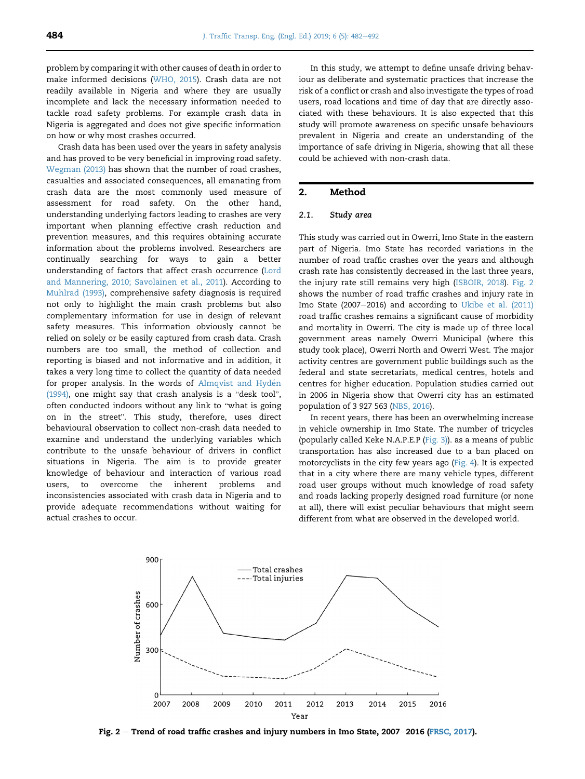problem by comparing it with other causes of death in order to make informed decisions ([WHO, 2015](#page-10-0)). Crash data are not readily available in Nigeria and where they are usually incomplete and lack the necessary information needed to tackle road safety problems. For example crash data in Nigeria is aggregated and does not give specific information on how or why most crashes occurred.

Crash data has been used over the years in safety analysis and has proved to be very beneficial in improving road safety. [Wegman \(2013\)](#page-10-0) has shown that the number of road crashes, casualties and associated consequences, all emanating from crash data are the most commonly used measure of assessment for road safety. On the other hand, understanding underlying factors leading to crashes are very important when planning effective crash reduction and prevention measures, and this requires obtaining accurate information about the problems involved. Researchers are continually searching for ways to gain a better understanding of factors that affect crash occurrence ([Lord](#page-10-0) [and Mannering, 2010; Savolainen et al., 2011](#page-10-0)). According to [Muhlrad \(1993\),](#page-10-0) comprehensive safety diagnosis is required not only to highlight the main crash problems but also complementary information for use in design of relevant safety measures. This information obviously cannot be relied on solely or be easily captured from crash data. Crash numbers are too small, the method of collection and reporting is biased and not informative and in addition, it takes a very long time to collect the quantity of data needed for proper analysis. In the words of Almqvist and Hydén [\(1994\),](#page-9-0) one might say that crash analysis is a "desk tool", often conducted indoors without any link to "what is going on in the street". This study, therefore, uses direct behavioural observation to collect non-crash data needed to examine and understand the underlying variables which contribute to the unsafe behaviour of drivers in conflict situations in Nigeria. The aim is to provide greater knowledge of behaviour and interaction of various road users, to overcome the inherent problems and inconsistencies associated with crash data in Nigeria and to provide adequate recommendations without waiting for actual crashes to occur.

In this study, we attempt to define unsafe driving behaviour as deliberate and systematic practices that increase the risk of a conflict or crash and also investigate the types of road users, road locations and time of day that are directly associated with these behaviours. It is also expected that this study will promote awareness on specific unsafe behaviours prevalent in Nigeria and create an understanding of the importance of safe driving in Nigeria, showing that all these could be achieved with non-crash data.

# 2. Method

#### 2.1. Study area

This study was carried out in Owerri, Imo State in the eastern part of Nigeria. Imo State has recorded variations in the number of road traffic crashes over the years and although crash rate has consistently decreased in the last three years, the injury rate still remains very high [\(ISBOIR, 2018\)](#page-10-0). Fig. 2 shows the number of road traffic crashes and injury rate in Imo State (2007-2016) and according to [Ukibe et al. \(2011\)](#page-10-0) road traffic crashes remains a significant cause of morbidity and mortality in Owerri. The city is made up of three local government areas namely Owerri Municipal (where this study took place), Owerri North and Owerri West. The major activity centres are government public buildings such as the federal and state secretariats, medical centres, hotels and centres for higher education. Population studies carried out in 2006 in Nigeria show that Owerri city has an estimated population of 3 927 563 ([NBS, 2016\)](#page-10-0).

In recent years, there has been an overwhelming increase in vehicle ownership in Imo State. The number of tricycles (popularly called Keke N.A.P.E.P [\(Fig. 3\)\)](#page-3-0). as a means of public transportation has also increased due to a ban placed on motorcyclists in the city few years ago ([Fig. 4](#page-3-0)). It is expected that in a city where there are many vehicle types, different road user groups without much knowledge of road safety and roads lacking properly designed road furniture (or none at all), there will exist peculiar behaviours that might seem different from what are observed in the developed world.



Fig.  $2 -$  Trend of road traffic crashes and injury numbers in Imo State, 2007-2016 [\(FRSC, 2017](#page-9-0)).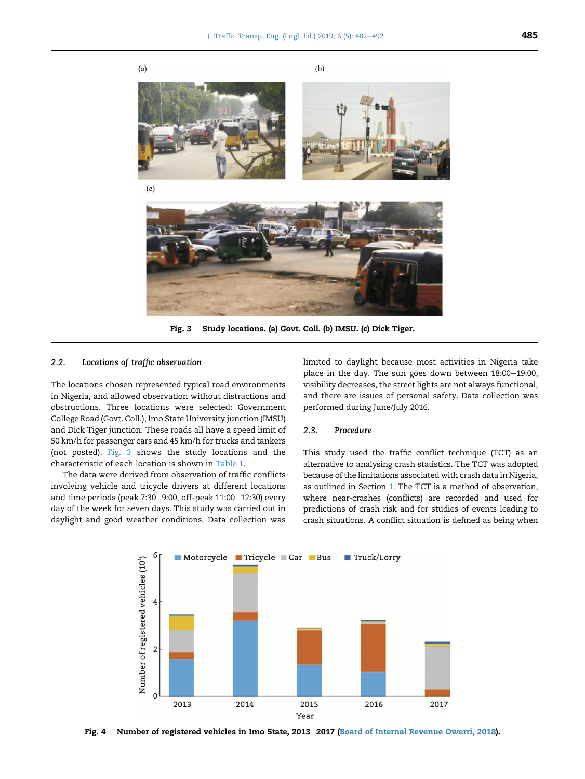<span id="page-3-0"></span>

Fig. 3 - Study locations. (a) Govt. Coll. (b) IMSU. (c) Dick Tiger.

### 2.2. Locations of traffic observation

The locations chosen represented typical road environments in Nigeria, and allowed observation without distractions and obstructions. Three locations were selected: Government College Road (Govt. Coll.), Imo State University junction (IMSU) and Dick Tiger junction. These roads all have a speed limit of 50 km/h for passenger cars and 45 km/h for trucks and tankers (not posted). Fig. 3 shows the study locations and the characteristic of each location is shown in [Table 1.](#page-4-0)

The data were derived from observation of traffic conflicts involving vehicle and tricycle drivers at different locations and time periods (peak 7:30-9:00, off-peak 11:00-12:30) every day of the week for seven days. This study was carried out in daylight and good weather conditions. Data collection was limited to daylight because most activities in Nigeria take place in the day. The sun goes down between  $18:00-19:00$ , visibility decreases, the street lights are not always functional, and there are issues of personal safety. Data collection was performed during June/July 2016.

#### 2.3. Procedure

This study used the traffic conflict technique (TCT) as an alternative to analysing crash statistics. The TCT was adopted because of the limitations associated with crash data in Nigeria, as outlined in Section [1](#page-1-0). The TCT is a method of observation, where near-crashes (conflicts) are recorded and used for predictions of crash risk and for studies of events leading to crash situations. A conflict situation is defined as being when



Fig. 4 - Number of registered vehicles in Imo State, 2013-2017 [\(Board of Internal Revenue Owerri, 2018](#page-10-0)).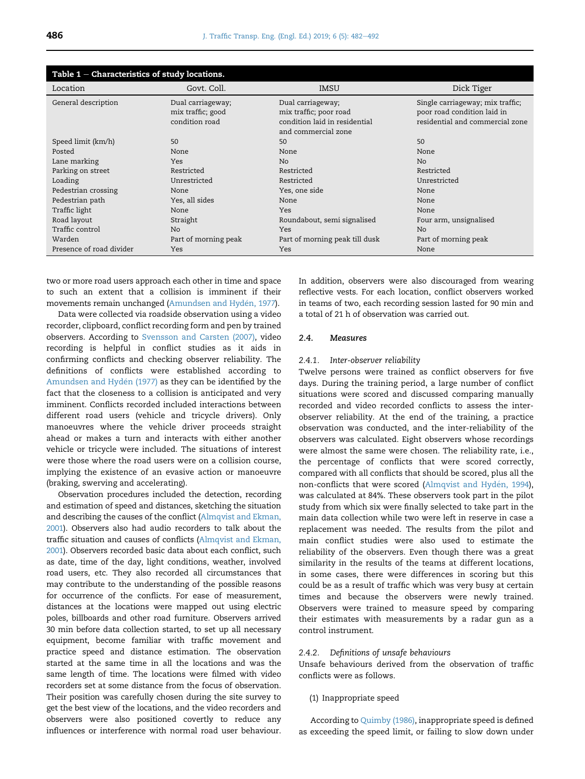<span id="page-4-0"></span>

| Table $1$ – Characteristics of study locations. |                                                          |                                                                                                     |                                                                                                    |  |  |  |  |  |
|-------------------------------------------------|----------------------------------------------------------|-----------------------------------------------------------------------------------------------------|----------------------------------------------------------------------------------------------------|--|--|--|--|--|
| Location                                        | Govt. Coll.                                              | <b>IMSU</b>                                                                                         | Dick Tiger                                                                                         |  |  |  |  |  |
| General description                             | Dual carriageway;<br>mix traffic; good<br>condition road | Dual carriageway;<br>mix traffic; poor road<br>condition laid in residential<br>and commercial zone | Single carriageway; mix traffic;<br>poor road condition laid in<br>residential and commercial zone |  |  |  |  |  |
| Speed limit (km/h)                              | 50                                                       | 50                                                                                                  | 50                                                                                                 |  |  |  |  |  |
| Posted                                          | None                                                     | None                                                                                                | None                                                                                               |  |  |  |  |  |
| Lane marking                                    | <b>Yes</b>                                               | No.                                                                                                 | N <sub>o</sub>                                                                                     |  |  |  |  |  |
| Parking on street                               | Restricted                                               | Restricted                                                                                          | Restricted                                                                                         |  |  |  |  |  |
| Loading                                         | Unrestricted                                             | Restricted                                                                                          | Unrestricted                                                                                       |  |  |  |  |  |
| Pedestrian crossing                             | None                                                     | Yes, one side                                                                                       | None                                                                                               |  |  |  |  |  |
| Pedestrian path                                 | Yes, all sides                                           | None                                                                                                | None                                                                                               |  |  |  |  |  |
| Traffic light                                   | None                                                     | Yes                                                                                                 | None                                                                                               |  |  |  |  |  |
| Road layout                                     | Straight                                                 | Roundabout, semi signalised                                                                         | Four arm, unsignalised                                                                             |  |  |  |  |  |
| Traffic control                                 | No.                                                      | <b>Yes</b>                                                                                          | N <sub>o</sub>                                                                                     |  |  |  |  |  |
| Warden                                          | Part of morning peak                                     | Part of morning peak till dusk                                                                      | Part of morning peak                                                                               |  |  |  |  |  |
| Presence of road divider                        | Yes                                                      | Yes                                                                                                 | None                                                                                               |  |  |  |  |  |

two or more road users approach each other in time and space to such an extent that a collision is imminent if their movements remain unchanged (Amundsen and Hydén, 1977).

Data were collected via roadside observation using a video recorder, clipboard, conflict recording form and pen by trained observers. According to [Svensson and Carsten \(2007\),](#page-10-0) video recording is helpful in conflict studies as it aids in confirming conflicts and checking observer reliability. The definitions of conflicts were established according to Amundsen and Hydén (1977) as they can be identified by the fact that the closeness to a collision is anticipated and very imminent. Conflicts recorded included interactions between different road users (vehicle and tricycle drivers). Only manoeuvres where the vehicle driver proceeds straight ahead or makes a turn and interacts with either another vehicle or tricycle were included. The situations of interest were those where the road users were on a collision course, implying the existence of an evasive action or manoeuvre (braking, swerving and accelerating).

Observation procedures included the detection, recording and estimation of speed and distances, sketching the situation and describing the causes of the conflict [\(Almqvist and Ekman,](#page-9-0) [2001](#page-9-0)). Observers also had audio recorders to talk about the traffic situation and causes of conflicts ([Almqvist and Ekman,](#page-9-0) [2001](#page-9-0)). Observers recorded basic data about each conflict, such as date, time of the day, light conditions, weather, involved road users, etc. They also recorded all circumstances that may contribute to the understanding of the possible reasons for occurrence of the conflicts. For ease of measurement, distances at the locations were mapped out using electric poles, billboards and other road furniture. Observers arrived 30 min before data collection started, to set up all necessary equipment, become familiar with traffic movement and practice speed and distance estimation. The observation started at the same time in all the locations and was the same length of time. The locations were filmed with video recorders set at some distance from the focus of observation. Their position was carefully chosen during the site survey to get the best view of the locations, and the video recorders and observers were also positioned covertly to reduce any influences or interference with normal road user behaviour. In addition, observers were also discouraged from wearing reflective vests. For each location, conflict observers worked in teams of two, each recording session lasted for 90 min and a total of 21 h of observation was carried out.

# 2.4. Measures

#### 2.4.1. Inter-observer reliability

Twelve persons were trained as conflict observers for five days. During the training period, a large number of conflict situations were scored and discussed comparing manually recorded and video recorded conflicts to assess the interobserver reliability. At the end of the training, a practice observation was conducted, and the inter-reliability of the observers was calculated. Eight observers whose recordings were almost the same were chosen. The reliability rate, i.e., the percentage of conflicts that were scored correctly, compared with all conflicts that should be scored, plus all the non-conflicts that were scored (Almqvist and Hydén, 1994), was calculated at 84%. These observers took part in the pilot study from which six were finally selected to take part in the main data collection while two were left in reserve in case a replacement was needed. The results from the pilot and main conflict studies were also used to estimate the reliability of the observers. Even though there was a great similarity in the results of the teams at different locations, in some cases, there were differences in scoring but this could be as a result of traffic which was very busy at certain times and because the observers were newly trained. Observers were trained to measure speed by comparing their estimates with measurements by a radar gun as a control instrument.

#### 2.4.2. Definitions of unsafe behaviours

Unsafe behaviours derived from the observation of traffic conflicts were as follows.

#### (1) Inappropriate speed

According to [Quimby \(1986\)](#page-10-0), inappropriate speed is defined as exceeding the speed limit, or failing to slow down under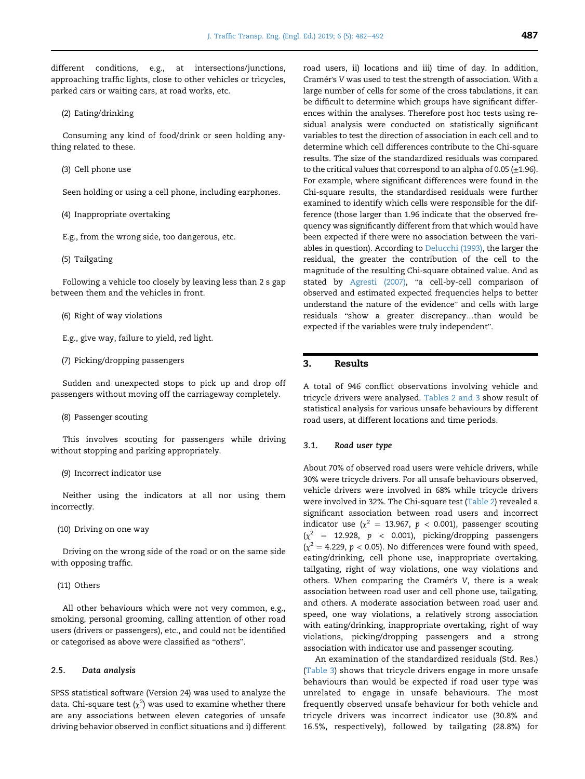different conditions, e.g., at intersections/junctions, approaching traffic lights, close to other vehicles or tricycles, parked cars or waiting cars, at road works, etc.

#### (2) Eating/drinking

Consuming any kind of food/drink or seen holding anything related to these.

(3) Cell phone use

Seen holding or using a cell phone, including earphones.

- (4) Inappropriate overtaking
- E.g., from the wrong side, too dangerous, etc.
- (5) Tailgating

Following a vehicle too closely by leaving less than 2 s gap between them and the vehicles in front.

(6) Right of way violations

E.g., give way, failure to yield, red light.

(7) Picking/dropping passengers

Sudden and unexpected stops to pick up and drop off passengers without moving off the carriageway completely.

(8) Passenger scouting

This involves scouting for passengers while driving without stopping and parking appropriately.

(9) Incorrect indicator use

Neither using the indicators at all nor using them incorrectly.

(10) Driving on one way

Driving on the wrong side of the road or on the same side with opposing traffic.

(11) Others

All other behaviours which were not very common, e.g., smoking, personal grooming, calling attention of other road users (drivers or passengers), etc., and could not be identified or categorised as above were classified as "others".

#### 2.5. Data analysis

SPSS statistical software (Version 24) was used to analyze the data. Chi-square test ( $\chi^2$ ) was used to examine whether there are any associations between eleven categories of unsafe driving behavior observed in conflict situations and i) different road users, ii) locations and iii) time of day. In addition, Cramér's V was used to test the strength of association. With a large number of cells for some of the cross tabulations, it can be difficult to determine which groups have significant differences within the analyses. Therefore post hoc tests using residual analysis were conducted on statistically significant variables to test the direction of association in each cell and to determine which cell differences contribute to the Chi-square results. The size of the standardized residuals was compared to the critical values that correspond to an alpha of 0.05 ( $\pm$ 1.96). For example, where significant differences were found in the Chi-square results, the standardised residuals were further examined to identify which cells were responsible for the difference (those larger than 1.96 indicate that the observed frequency was significantly different from that which would have been expected if there were no association between the variables in question). According to [Delucchi \(1993\)](#page-9-0), the larger the residual, the greater the contribution of the cell to the magnitude of the resulting Chi-square obtained value. And as stated by [Agresti \(2007\)](#page-9-0), "a cell-by-cell comparison of observed and estimated expected frequencies helps to better understand the nature of the evidence" and cells with large residuals "show a greater discrepancy…than would be expected if the variables were truly independent".

# 3. Results

A total of 946 conflict observations involving vehicle and tricycle drivers were analysed. [Tables 2 and 3](#page-6-0) show result of statistical analysis for various unsafe behaviours by different road users, at different locations and time periods.

#### 3.1. Road user type

About 70% of observed road users were vehicle drivers, while 30% were tricycle drivers. For all unsafe behaviours observed, vehicle drivers were involved in 68% while tricycle drivers were involved in 32%. The Chi-square test ([Table 2\)](#page-6-0) revealed a significant association between road users and incorrect indicator use ( $\chi^2$  = 13.967, p < 0.001), passenger scouting  $(x^2$  = 12.928,  $p$  < 0.001), picking/dropping passengers  $(x^2 = 4.229, p < 0.05)$ . No differences were found with speed, eating/drinking, cell phone use, inappropriate overtaking, tailgating, right of way violations, one way violations and others. When comparing the Cramér's V, there is a weak association between road user and cell phone use, tailgating, and others. A moderate association between road user and speed, one way violations, a relatively strong association with eating/drinking, inappropriate overtaking, right of way violations, picking/dropping passengers and a strong association with indicator use and passenger scouting.

An examination of the standardized residuals (Std. Res.) [\(Table 3\)](#page-7-0) shows that tricycle drivers engage in more unsafe behaviours than would be expected if road user type was unrelated to engage in unsafe behaviours. The most frequently observed unsafe behaviour for both vehicle and tricycle drivers was incorrect indicator use (30.8% and 16.5%, respectively), followed by tailgating (28.8%) for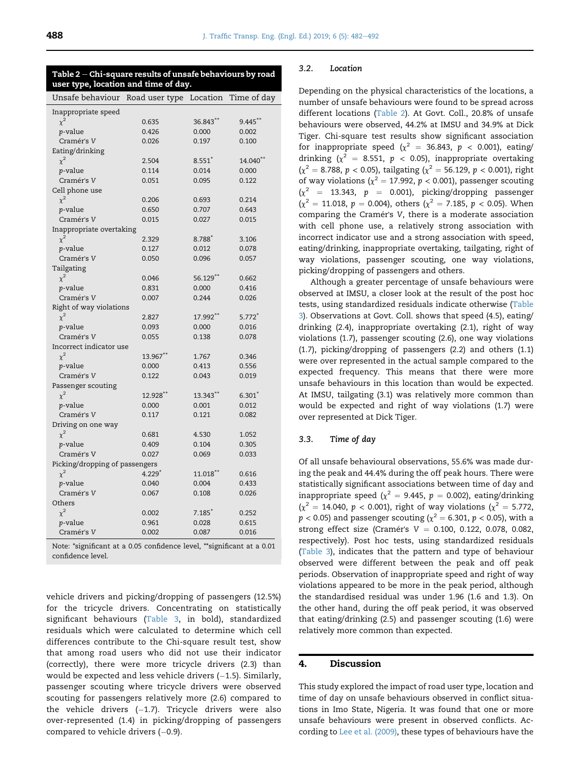<span id="page-6-0"></span>

| Table $2$ – Chi-square results of unsafe behaviours by road |  |
|-------------------------------------------------------------|--|
| user type, location and time of day.                        |  |

| Unsafe behaviour                                                                            | Road user type | Location       | Time of day |
|---------------------------------------------------------------------------------------------|----------------|----------------|-------------|
| Inappropriate speed                                                                         |                |                |             |
| $\chi^2$                                                                                    | 0.635          | 36.843**       | $9.445$ $*$ |
| <i>p</i> -value                                                                             | 0.426          | 0.000          | 0.002       |
| Cramér's V                                                                                  | 0.026          | 0.197          | 0.100       |
| Eating/drinking                                                                             |                |                |             |
| $x^2$                                                                                       | 2.504          | $8.551*$       | 14.040**    |
| p-value                                                                                     | 0.114          | 0.014          | 0.000       |
| Cramér's V                                                                                  | 0.051          | 0.095          | 0.122       |
| Cell phone use                                                                              |                |                |             |
| $x^2$                                                                                       | 0.206          | 0.693          | 0.214       |
| p-value                                                                                     | 0.650          | 0.707          | 0.643       |
| Cramér's V                                                                                  | 0.015          | 0.027          | 0.015       |
| Inappropriate overtaking                                                                    |                |                |             |
| $\chi^2$                                                                                    | 2.329          | 8.788          | 3.106       |
| <i>p</i> -value                                                                             | 0.127          | 0.012          | 0.078       |
| Cramér's V                                                                                  | 0.050          | 0.096          | 0.057       |
| Tailgating                                                                                  |                |                |             |
| $\chi^2$                                                                                    | 0.046          | 56.129"        | 0.662       |
| p-value                                                                                     | 0.831          | 0.000          | 0.416       |
| Cramér's V                                                                                  | 0.007          | 0.244          | 0.026       |
| Right of way violations                                                                     |                |                |             |
| $x^2$                                                                                       | 2.827          | 17.992**       | $5.772*$    |
| p-value                                                                                     | 0.093          | 0.000          | 0.016       |
| Cramér's V                                                                                  | 0.055          | 0.138          | 0.078       |
| Incorrect indicator use                                                                     |                |                |             |
| $\chi^2$                                                                                    | 13.967**       | 1.767          | 0.346       |
| <i>p</i> -value                                                                             | 0.000          | 0.413          | 0.556       |
| Cramér's V                                                                                  | 0.122          | 0.043          | 0.019       |
| Passenger scouting                                                                          |                |                |             |
| $x^2$                                                                                       | 12.928**       | 13.343**       | 6.301"      |
| <i>p</i> -value                                                                             | 0.000          | 0.001          | 0.012       |
| Cramér's V                                                                                  | 0.117          | 0.121          | 0.082       |
| Driving on one way                                                                          |                |                |             |
| $\chi^2$                                                                                    | 0.681          | 4.530          | 1.052       |
| p-value                                                                                     | 0.409          | 0.104          | 0.305       |
| Cramér's V                                                                                  | 0.027          | 0.069          | 0.033       |
| Picking/dropping of passengers                                                              |                |                |             |
| $\chi^2$                                                                                    | 4.229"         | 11.018**       | 0.616       |
| p-value                                                                                     | 0.040          | 0.004          | 0.433       |
| Cramér's V                                                                                  | 0.067          | 0.108          | 0.026       |
| Others<br>$\chi^2$                                                                          |                |                |             |
|                                                                                             | 0.002          | 7.185          | 0.252       |
| <i>p</i> -value                                                                             | 0.961<br>0.002 | 0.028<br>0.087 | 0.615       |
| Cramér's V                                                                                  |                |                | 0.016       |
| Note: *significant at a 0.05 confidence level, **significant at a 0.01<br>confidence level. |                |                |             |

vehicle drivers and picking/dropping of passengers (12.5%) for the tricycle drivers. Concentrating on statistically significant behaviours ([Table 3,](#page-7-0) in bold), standardized residuals which were calculated to determine which cell differences contribute to the Chi-square result test, show that among road users who did not use their indicator (correctly), there were more tricycle drivers (2.3) than would be expected and less vehicle drivers  $(-1.5)$ . Similarly, passenger scouting where tricycle drivers were observed scouting for passengers relatively more (2.6) compared to the vehicle drivers  $(-1.7)$ . Tricycle drivers were also over-represented (1.4) in picking/dropping of passengers compared to vehicle drivers  $(-0.9)$ .

#### 3.2. Location

Depending on the physical characteristics of the locations, a number of unsafe behaviours were found to be spread across different locations (Table 2). At Govt. Coll., 20.8% of unsafe behaviours were observed, 44.2% at IMSU and 34.9% at Dick Tiger. Chi-square test results show significant association for inappropriate speed ( $\chi^2$  = 36.843, p < 0.001), eating/ drinking ( $\chi^2$  = 8.551, p < 0.05), inappropriate overtaking  $(x^2 = 8.788, p < 0.05)$ , tailgating  $(x^2 = 56.129, p < 0.001)$ , right of way violations ( $\chi^2$  = 17.992, p < 0.001), passenger scouting  $(x^2$  = 13.343,  $p$  = 0.001), picking/dropping passenger  $(x^2 = 11.018, p = 0.004)$ , others  $(x^2 = 7.185, p < 0.05)$ . When comparing the Cramér's V, there is a moderate association with cell phone use, a relatively strong association with incorrect indicator use and a strong association with speed, eating/drinking, inappropriate overtaking, tailgating, right of way violations, passenger scouting, one way violations, picking/dropping of passengers and others.

Although a greater percentage of unsafe behaviours were observed at IMSU, a closer look at the result of the post hoc tests, using standardized residuals indicate otherwise ([Table](#page-7-0) [3\)](#page-7-0). Observations at Govt. Coll. shows that speed (4.5), eating/ drinking (2.4), inappropriate overtaking (2.1), right of way violations (1.7), passenger scouting (2.6), one way violations (1.7), picking/dropping of passengers (2.2) and others (1.1) were over represented in the actual sample compared to the expected frequency. This means that there were more unsafe behaviours in this location than would be expected. At IMSU, tailgating (3.1) was relatively more common than would be expected and right of way violations (1.7) were over represented at Dick Tiger.

### 3.3. Time of day

Of all unsafe behavioural observations, 55.6% was made during the peak and 44.4% during the off peak hours. There were statistically significant associations between time of day and inappropriate speed ( $\chi^2$  = 9.445, p = 0.002), eating/drinking  $(x^2 = 14.040, p < 0.001)$ , right of way violations  $(x^2 = 5.772,$  $p <$  0.05) and passenger scouting ( $\chi^2$  = 6.301,  $p <$  0.05), with a strong effect size (Cramér's  $V = 0.100, 0.122, 0.078, 0.082,$ respectively). Post hoc tests, using standardized residuals ([Table 3](#page-7-0)), indicates that the pattern and type of behaviour observed were different between the peak and off peak periods. Observation of inappropriate speed and right of way violations appeared to be more in the peak period, although the standardised residual was under 1.96 (1.6 and 1.3). On the other hand, during the off peak period, it was observed that eating/drinking (2.5) and passenger scouting (1.6) were relatively more common than expected.

# 4. Discussion

This study explored the impact of road user type, location and time of day on unsafe behaviours observed in conflict situations in Imo State, Nigeria. It was found that one or more unsafe behaviours were present in observed conflicts. According to [Lee et al. \(2009\)](#page-10-0), these types of behaviours have the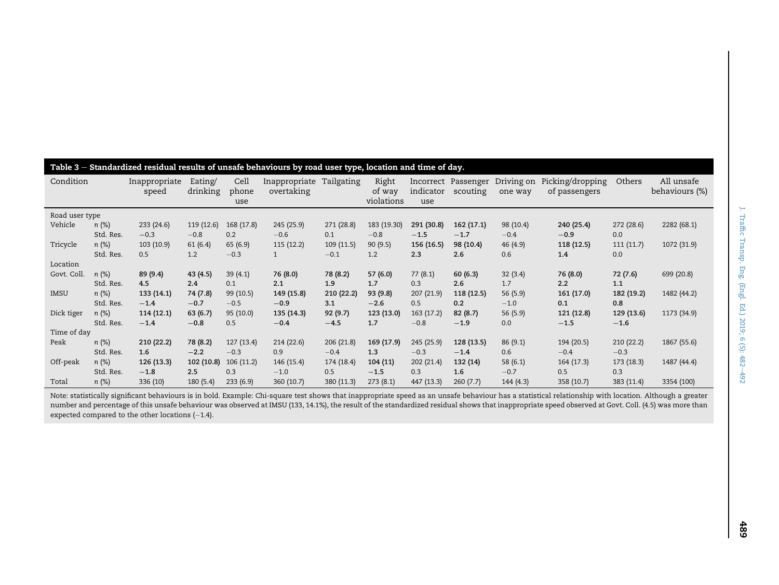<span id="page-7-0"></span>

| Table 3 – Standardized residual results of unsafe behaviours by road user type, location and time of day. |           |                        |                     |                      |                                        |            |                               |                  |                                 |                       |                                   |            |                              |
|-----------------------------------------------------------------------------------------------------------|-----------|------------------------|---------------------|----------------------|----------------------------------------|------------|-------------------------------|------------------|---------------------------------|-----------------------|-----------------------------------|------------|------------------------------|
| Condition                                                                                                 |           | Inappropriate<br>speed | Eating/<br>drinking | Cell<br>phone<br>use | Inappropriate Tailgating<br>overtaking |            | Right<br>of way<br>violations | indicator<br>use | Incorrect Passenger<br>scouting | Driving on<br>one way | Picking/dropping<br>of passengers | Others     | All unsafe<br>behaviours (%) |
| Road user type                                                                                            |           |                        |                     |                      |                                        |            |                               |                  |                                 |                       |                                   |            |                              |
| Vehicle                                                                                                   | $n (\%)$  | 233 (24.6)             | 119 (12.6)          | 168 (17.8)           | 245 (25.9)                             | 271 (28.8) | 183 (19.30)                   | 291 (30.8)       | 162(17.1)                       | 98 (10.4)             | 240 (25.4)                        | 272(28.6)  | 2282 (68.1)                  |
|                                                                                                           | Std. Res. | $-0.3$                 | $-0.8$              | 0.2                  | $-0.6$                                 | 0.1        | $-0.8$                        | $-1.5$           | $-1.7$                          | $-0.4$                | $-0.9$                            | 0.0        |                              |
| Tricycle                                                                                                  | $n$ (%)   | 103 (10.9)             | 61(6.4)             | 65 (6.9)             | 115(12.2)                              | 109(11.5)  | 90(9.5)                       | 156 (16.5)       | 98 (10.4)                       | 46(4.9)               | 118 (12.5)                        | 111(11.7)  | 1072 (31.9)                  |
|                                                                                                           | Std. Res. | 0.5                    | 1.2                 | $-0.3$               |                                        | $-0.1$     | 1.2                           | 2.3              | 2.6                             | 0.6                   | 1.4                               | 0.0        |                              |
| Location                                                                                                  |           |                        |                     |                      |                                        |            |                               |                  |                                 |                       |                                   |            |                              |
| Govt. Coll.                                                                                               | $n (\%)$  | 89 (9.4)               | 43 (4.5)            | 39(4.1)              | 76 (8.0)                               | 78 (8.2)   | 57(6.0)                       | 77(8.1)          | 60(6.3)                         | 32(3.4)               | 76 (8.0)                          | 72 (7.6)   | 699 (20.8)                   |
|                                                                                                           | Std. Res. | 4.5                    | 2.4                 | 0.1                  | 2.1                                    | 1.9        | 1.7                           | 0.3              | 2.6                             | 1.7                   | 2.2                               | 1.1        |                              |
| <b>IMSU</b>                                                                                               | $n (\%)$  | 133 (14.1)             | 74 (7.8)            | 99 (10.5)            | 149 (15.8)                             | 210 (22.2) | 93 (9.8)                      | 207(21.9)        | 118 (12.5)                      | 56 (5.9)              | 161 (17.0)                        | 182 (19.2) | 1482 (44.2)                  |
|                                                                                                           | Std. Res. | $-1.4$                 | $-0.7$              | $-0.5$               | $-0.9$                                 | 3.1        | $-2.6$                        | 0.5              | 0.2                             | $-1.0$                | 0.1                               | 0.8        |                              |
| Dick tiger                                                                                                | $n (\%)$  | 114 (12.1)             | 63 (6.7)            | 95 (10.0)            | 135 (14.3)                             | 92(9.7)    | 123 (13.0)                    | 163(17.2)        | 82 (8.7)                        | 56 (5.9)              | 121 (12.8)                        | 129 (13.6) | 1173 (34.9)                  |
|                                                                                                           | Std. Res. | $-1.4$                 | $-0.8$              | 0.5                  | $-0.4$                                 | $-4.5$     | 1.7                           | $-0.8$           | $-1.9$                          | 0.0                   | $-1.5$                            | $-1.6$     |                              |
| Time of day                                                                                               |           |                        |                     |                      |                                        |            |                               |                  |                                 |                       |                                   |            |                              |
| Peak                                                                                                      | $n$ (%)   | 210 (22.2)             | 78 (8.2)            | 127(13.4)            | 214(22.6)                              | 206(21.8)  | 169 (17.9)                    | 245(25.9)        | 128 (13.5)                      | 86(9.1)               | 194 (20.5)                        | 210(22.2)  | 1867 (55.6)                  |
|                                                                                                           | Std. Res. | 1.6                    | $-2.2$              | $-0.3$               | 0.9                                    | $-0.4$     | 1.3                           | $-0.3$           | $-1.4$                          | 0.6                   | $-0.4$                            | $-0.3$     |                              |
| Off-peak                                                                                                  | $n$ (%)   | 126 (13.3)             | 102(10.8)           | 106(11.2)            | 146 (15.4)                             | 174 (18.4) | 104(11)                       | 202(21.4)        | 132 (14)                        | 58(6.1)               | 164(17.3)                         | 173 (18.3) | 1487 (44.4)                  |
|                                                                                                           | Std. Res. | $-1.8$                 | 2.5                 | 0.3                  | $-1.0$                                 | 0.5        | $-1.5$                        | 0.3              | 1.6                             | $-0.7$                | 0.5                               | 0.3        |                              |
| Total                                                                                                     | $n (\%)$  | 336 (10)               | 180(5.4)            | 233(6.9)             | 360(10.7)                              | 380 (11.3) | 273(8.1)                      | 447 (13.3)       | 260(7.7)                        | 144 (4.3)             | 358 (10.7)                        | 383 (11.4) | 3354 (100)                   |

Note: statistically significant behaviours is in bold. Example: Chi-square test shows that inappropriate speed as an unsafe behaviour has <sup>a</sup> statistical relationship with location. Although <sup>a</sup> greater number and percentage of this unsafe behaviour was observed at IMSU (133, 14.1%), the result of the standardized residual shows that inappropriate speed observed at Govt. Coll. (4.5) was more than expected compared to the other locations  $(-1.4)$ .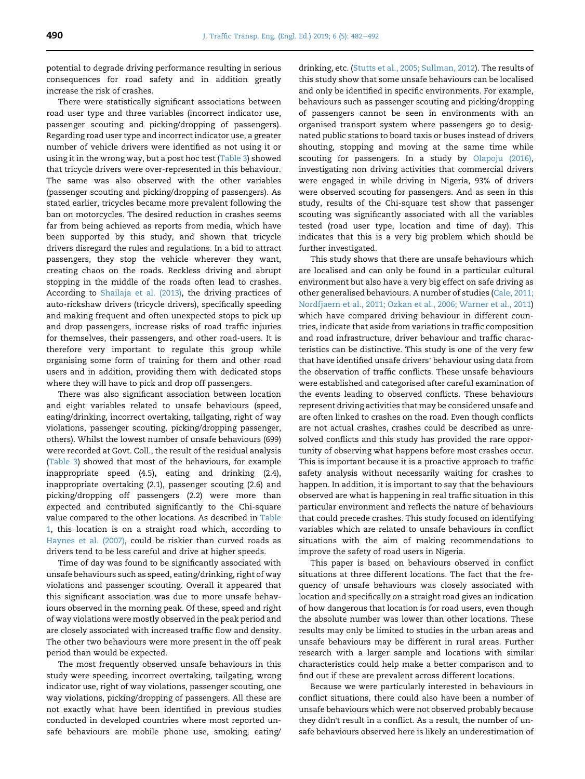potential to degrade driving performance resulting in serious consequences for road safety and in addition greatly increase the risk of crashes.

There were statistically significant associations between road user type and three variables (incorrect indicator use, passenger scouting and picking/dropping of passengers). Regarding road user type and incorrect indicator use, a greater number of vehicle drivers were identified as not using it or using it in the wrong way, but a post hoc test ([Table 3\)](#page-7-0) showed that tricycle drivers were over-represented in this behaviour. The same was also observed with the other variables (passenger scouting and picking/dropping of passengers). As stated earlier, tricycles became more prevalent following the ban on motorcycles. The desired reduction in crashes seems far from being achieved as reports from media, which have been supported by this study, and shown that tricycle drivers disregard the rules and regulations. In a bid to attract passengers, they stop the vehicle wherever they want, creating chaos on the roads. Reckless driving and abrupt stopping in the middle of the roads often lead to crashes. According to [Shailaja et al. \(2013\),](#page-10-0) the driving practices of auto-rickshaw drivers (tricycle drivers), specifically speeding and making frequent and often unexpected stops to pick up and drop passengers, increase risks of road traffic injuries for themselves, their passengers, and other road-users. It is therefore very important to regulate this group while organising some form of training for them and other road users and in addition, providing them with dedicated stops where they will have to pick and drop off passengers.

There was also significant association between location and eight variables related to unsafe behaviours (speed, eating/drinking, incorrect overtaking, tailgating, right of way violations, passenger scouting, picking/dropping passenger, others). Whilst the lowest number of unsafe behaviours (699) were recorded at Govt. Coll., the result of the residual analysis ([Table 3](#page-7-0)) showed that most of the behaviours, for example inappropriate speed (4.5), eating and drinking (2.4), inappropriate overtaking (2.1), passenger scouting (2.6) and picking/dropping off passengers (2.2) were more than expected and contributed significantly to the Chi-square value compared to the other locations. As described in [Table](#page-4-0) [1,](#page-4-0) this location is on a straight road which, according to [Haynes et al. \(2007\),](#page-10-0) could be riskier than curved roads as drivers tend to be less careful and drive at higher speeds.

Time of day was found to be significantly associated with unsafe behaviours such as speed, eating/drinking, right of way violations and passenger scouting. Overall it appeared that this significant association was due to more unsafe behaviours observed in the morning peak. Of these, speed and right of way violations were mostly observed in the peak period and are closely associated with increased traffic flow and density. The other two behaviours were more present in the off peak period than would be expected.

The most frequently observed unsafe behaviours in this study were speeding, incorrect overtaking, tailgating, wrong indicator use, right of way violations, passenger scouting, one way violations, picking/dropping of passengers. All these are not exactly what have been identified in previous studies conducted in developed countries where most reported unsafe behaviours are mobile phone use, smoking, eating/

drinking, etc. ([Stutts et al., 2005; Sullman, 2012\)](#page-10-0). The results of this study show that some unsafe behaviours can be localised and only be identified in specific environments. For example, behaviours such as passenger scouting and picking/dropping of passengers cannot be seen in environments with an organised transport system where passengers go to designated public stations to board taxis or buses instead of drivers shouting, stopping and moving at the same time while scouting for passengers. In a study by [Olapoju \(2016\)](#page-10-0), investigating non driving activities that commercial drivers were engaged in while driving in Nigeria, 93% of drivers were observed scouting for passengers. And as seen in this study, results of the Chi-square test show that passenger scouting was significantly associated with all the variables tested (road user type, location and time of day). This indicates that this is a very big problem which should be further investigated.

This study shows that there are unsafe behaviours which are localised and can only be found in a particular cultural environment but also have a very big effect on safe driving as other generalised behaviours. A number of studies ([Cale, 2011;](#page-9-0) [Nordfjaern et al., 2011; Ozkan et al., 2006; Warner et al., 2011\)](#page-9-0) which have compared driving behaviour in different countries, indicate that aside from variations in traffic composition and road infrastructure, driver behaviour and traffic characteristics can be distinctive. This study is one of the very few that have identified unsafe drivers' behaviour using data from the observation of traffic conflicts. These unsafe behaviours were established and categorised after careful examination of the events leading to observed conflicts. These behaviours represent driving activities that may be considered unsafe and are often linked to crashes on the road. Even though conflicts are not actual crashes, crashes could be described as unresolved conflicts and this study has provided the rare opportunity of observing what happens before most crashes occur. This is important because it is a proactive approach to traffic safety analysis without necessarily waiting for crashes to happen. In addition, it is important to say that the behaviours observed are what is happening in real traffic situation in this particular environment and reflects the nature of behaviours that could precede crashes. This study focused on identifying variables which are related to unsafe behaviours in conflict situations with the aim of making recommendations to improve the safety of road users in Nigeria.

This paper is based on behaviours observed in conflict situations at three different locations. The fact that the frequency of unsafe behaviours was closely associated with location and specifically on a straight road gives an indication of how dangerous that location is for road users, even though the absolute number was lower than other locations. These results may only be limited to studies in the urban areas and unsafe behaviours may be different in rural areas. Further research with a larger sample and locations with similar characteristics could help make a better comparison and to find out if these are prevalent across different locations.

Because we were particularly interested in behaviours in conflict situations, there could also have been a number of unsafe behaviours which were not observed probably because they didn't result in a conflict. As a result, the number of unsafe behaviours observed here is likely an underestimation of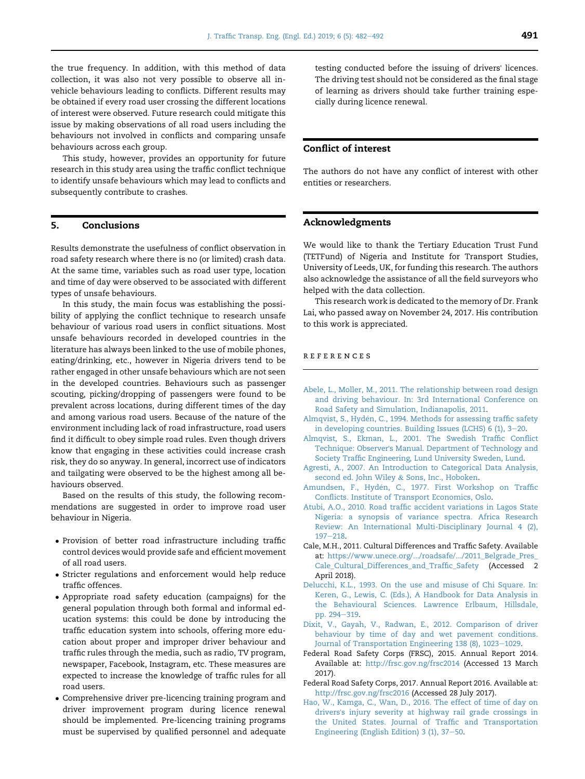<span id="page-9-0"></span>the true frequency. In addition, with this method of data collection, it was also not very possible to observe all invehicle behaviours leading to conflicts. Different results may be obtained if every road user crossing the different locations of interest were observed. Future research could mitigate this issue by making observations of all road users including the behaviours not involved in conflicts and comparing unsafe behaviours across each group.

This study, however, provides an opportunity for future research in this study area using the traffic conflict technique to identify unsafe behaviours which may lead to conflicts and subsequently contribute to crashes.

# 5. Conclusions

Results demonstrate the usefulness of conflict observation in road safety research where there is no (or limited) crash data. At the same time, variables such as road user type, location and time of day were observed to be associated with different types of unsafe behaviours.

In this study, the main focus was establishing the possibility of applying the conflict technique to research unsafe behaviour of various road users in conflict situations. Most unsafe behaviours recorded in developed countries in the literature has always been linked to the use of mobile phones, eating/drinking, etc., however in Nigeria drivers tend to be rather engaged in other unsafe behaviours which are not seen in the developed countries. Behaviours such as passenger scouting, picking/dropping of passengers were found to be prevalent across locations, during different times of the day and among various road users. Because of the nature of the environment including lack of road infrastructure, road users find it difficult to obey simple road rules. Even though drivers know that engaging in these activities could increase crash risk, they do so anyway. In general, incorrect use of indicators and tailgating were observed to be the highest among all behaviours observed.

Based on the results of this study, the following recommendations are suggested in order to improve road user behaviour in Nigeria.

- Provision of better road infrastructure including traffic control devices would provide safe and efficient movement of all road users.
- Stricter regulations and enforcement would help reduce traffic offences.
- Appropriate road safety education (campaigns) for the general population through both formal and informal education systems: this could be done by introducing the traffic education system into schools, offering more education about proper and improper driver behaviour and traffic rules through the media, such as radio, TV program, newspaper, Facebook, Instagram, etc. These measures are expected to increase the knowledge of traffic rules for all road users.
- Comprehensive driver pre-licencing training program and driver improvement program during licence renewal should be implemented. Pre-licencing training programs must be supervised by qualified personnel and adequate

testing conducted before the issuing of drivers' licences. The driving test should not be considered as the final stage of learning as drivers should take further training especially during licence renewal.

# Conflict of interest

The authors do not have any conflict of interest with other entities or researchers.

# Acknowledgments

We would like to thank the Tertiary Education Trust Fund (TETFund) of Nigeria and Institute for Transport Studies, University of Leeds, UK, for funding this research. The authors also acknowledge the assistance of all the field surveyors who helped with the data collection.

This research work is dedicated to the memory of Dr. Frank Lai, who passed away on November 24, 2017. His contribution to this work is appreciated.

- [Abele, L., Moller, M., 2011. The relationship between road design](http://refhub.elsevier.com/S2095-7564(18)30045-X/sref1) [and driving behaviour. In: 3rd International Conference on](http://refhub.elsevier.com/S2095-7564(18)30045-X/sref1) [Road Safety and Simulation, Indianapolis, 2011.](http://refhub.elsevier.com/S2095-7564(18)30045-X/sref1)
- [Almqvist, S., Hyden, C., 1994. Methods for assessing traffic safety](http://refhub.elsevier.com/S2095-7564(18)30045-X/sref2) in developing countries. Building Issues (LCHS)  $6$  (1),  $3-20$  $3-20$ .
- [Almqvist, S., Ekman, L., 2001. The Swedish Traffic Conflict](http://refhub.elsevier.com/S2095-7564(18)30045-X/sref3) Technique: Observer'[s Manual. Department of Technology and](http://refhub.elsevier.com/S2095-7564(18)30045-X/sref3) [Society Traffic Engineering, Lund University Sweden, Lund.](http://refhub.elsevier.com/S2095-7564(18)30045-X/sref3)
- [Agresti, A., 2007. An Introduction to Categorical Data Analysis,](http://refhub.elsevier.com/S2095-7564(18)30045-X/sref4) [second ed. John Wiley](http://refhub.elsevier.com/S2095-7564(18)30045-X/sref4) & [Sons, Inc., Hoboken.](http://refhub.elsevier.com/S2095-7564(18)30045-X/sref4)
- [Amundsen, F., Hyden, C., 1977. First Workshop on Traffic](http://refhub.elsevier.com/S2095-7564(18)30045-X/sref5) [Conflicts. Institute of Transport Economics, Oslo](http://refhub.elsevier.com/S2095-7564(18)30045-X/sref5).
- [Atubi, A.O., 2010. Road traffic accident variations in Lagos State](http://refhub.elsevier.com/S2095-7564(18)30045-X/sref6) [Nigeria: a synopsis of variance spectra. Africa Research](http://refhub.elsevier.com/S2095-7564(18)30045-X/sref6) [Review: An International Multi-Disciplinary Journal 4 \(2\),](http://refhub.elsevier.com/S2095-7564(18)30045-X/sref6)  $197 - 218.$  $197 - 218.$  $197 - 218.$  $197 - 218.$
- Cale, M.H., 2011. Cultural Differences and Traffic Safety. Available at: [https://www.unece.org/.../roadsafe/.../2011\\_Belgrade\\_Pres\\_](https://www.unece.org/.../roadsafe/.../2011_Belgrade_Pres_Cale_Cultural_Differences_and_Traffic_Safety) [Cale\\_Cultural\\_Differences\\_and\\_Traffic\\_Safety](https://www.unece.org/.../roadsafe/.../2011_Belgrade_Pres_Cale_Cultural_Differences_and_Traffic_Safety) (Accessed 2 April 2018).
- [Delucchi, K.L., 1993. On the use and misuse of Chi Square. In:](http://refhub.elsevier.com/S2095-7564(18)30045-X/sref8) [Keren, G., Lewis, C. \(Eds.\), A Handbook for Data Analysis in](http://refhub.elsevier.com/S2095-7564(18)30045-X/sref8) [the Behavioural Sciences. Lawrence Erlbaum, Hillsdale,](http://refhub.elsevier.com/S2095-7564(18)30045-X/sref8) [pp. 294](http://refhub.elsevier.com/S2095-7564(18)30045-X/sref8)-[319](http://refhub.elsevier.com/S2095-7564(18)30045-X/sref8).
- [Dixit, V., Gayah, V., Radwan, E., 2012. Comparison of driver](http://refhub.elsevier.com/S2095-7564(18)30045-X/sref9) [behaviour by time of day and wet pavement conditions.](http://refhub.elsevier.com/S2095-7564(18)30045-X/sref9) [Journal of Transportation Engineering 138 \(8\), 1023](http://refhub.elsevier.com/S2095-7564(18)30045-X/sref9)-[1029](http://refhub.elsevier.com/S2095-7564(18)30045-X/sref9).
- Federal Road Safety Corps (FRSC), 2015. Annual Report 2014. Available at: <http://frsc.gov.ng/frsc2014> (Accessed 13 March 2017).
- Federal Road Safety Corps, 2017. Annual Report 2016. Available at: <http://frsc.gov.ng/frsc2016> (Accessed 28 July 2017).
- [Hao, W., Kamga, C., Wan, D., 2016. The effect of time of day on](http://refhub.elsevier.com/S2095-7564(18)30045-X/sref12) drivers'[s injury severity at highway rail grade crossings in](http://refhub.elsevier.com/S2095-7564(18)30045-X/sref12) [the United States. Journal of Traffic and Transportation](http://refhub.elsevier.com/S2095-7564(18)30045-X/sref12) Engineering (English Edition) 3  $(1)$ , 37–[50.](http://refhub.elsevier.com/S2095-7564(18)30045-X/sref12)